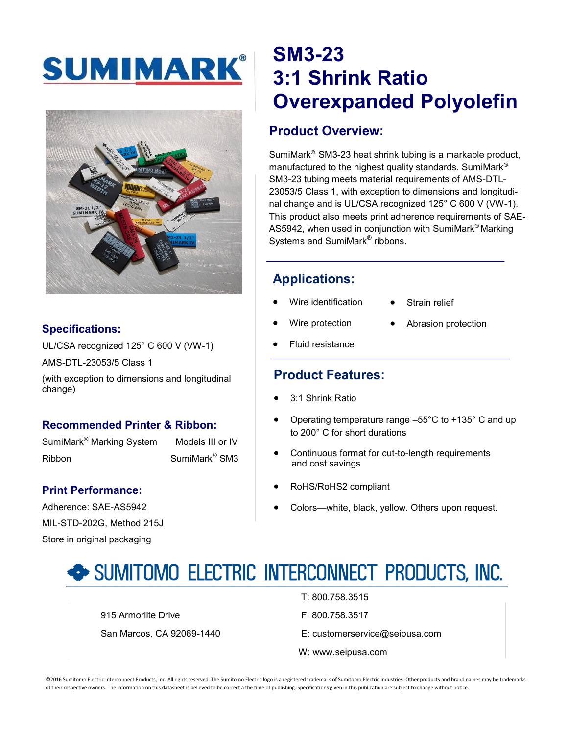# SUMIMARK®



#### **Specifications:**

UL/CSA recognized 125° C 600 V (VW-1) AMS-DTL-23053/5 Class 1

(with exception to dimensions and longitudinal change)

#### **Recommended Printer & Ribbon:**

SumiMark<sup>®</sup> Marking System Models III or IV Ribbon SumiMark<sup>®</sup> SM3

#### **Print Performance:**

Adherence: SAE-AS5942 MIL-STD-202G, Method 215J Store in original packaging

### **SM3-23 3:1 Shrink Ratio Overexpanded Polyolefin**

#### **Product Overview:**

SumiMark® SM3-23 heat shrink tubing is a markable product, manufactured to the highest quality standards. SumiMark® SM3-23 tubing meets material requirements of AMS-DTL-23053/5 Class 1, with exception to dimensions and longitudinal change and is UL/CSA recognized 125° C 600 V (VW-1). This product also meets print adherence requirements of SAE-AS5942, when used in conjunction with SumiMark® Marking Systems and SumiMark<sup>®</sup> ribbons.

#### **Applications:**

- Wire identification
- Strain relief
- Wire protection
- Abrasion protection
- Fluid resistance

#### **Product Features:**

- 3:1 Shrink Ratio
- Operating temperature range –55°C to +135° C and up to 200° C for short durations
- Continuous format for cut-to-length requirements and cost savings
- RoHS/RoHS2 compliant
- Colors—white, black, yellow. Others upon request.

### SUMITOMO ELECTRIC INTERCONNECT PRODUCTS, INC.

915 Armorlite Drive **F: 800.758.3517** 

- T: 800.758.3515
- 
- San Marcos, CA 92069-1440 E: customerservice@seipusa.com
	- W: www.seipusa.com

©2016 Sumitomo Electric Interconnect Products, Inc. All rights reserved. The Sumitomo Electric logo is a registered trademark of Sumitomo Electric Industries. Other products and brand names may be trademarks of their respective owners. The information on this datasheet is believed to be correct a the time of publishing. Specifications given in this publication are subject to change without notice.